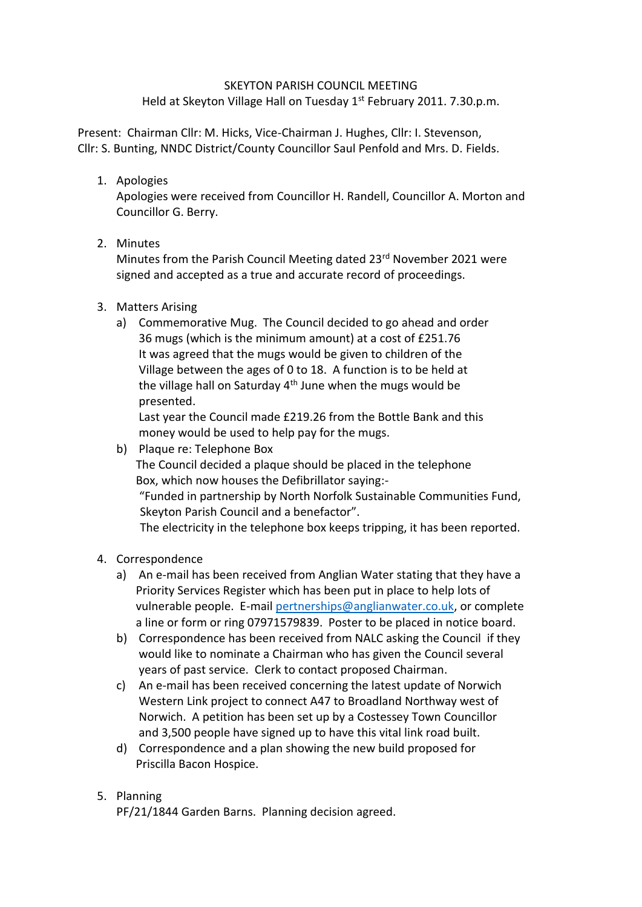## SKEYTON PARISH COUNCIL MEETING

Held at Skeyton Village Hall on Tuesday 1<sup>st</sup> February 2011. 7.30.p.m.

Present: Chairman Cllr: M. Hicks, Vice-Chairman J. Hughes, Cllr: I. Stevenson, Cllr: S. Bunting, NNDC District/County Councillor Saul Penfold and Mrs. D. Fields.

1. Apologies

Apologies were received from Councillor H. Randell, Councillor A. Morton and Councillor G. Berry.

2. Minutes

Minutes from the Parish Council Meeting dated 23rd November 2021 were signed and accepted as a true and accurate record of proceedings.

- 3. Matters Arising
	- a) Commemorative Mug. The Council decided to go ahead and order 36 mugs (which is the minimum amount) at a cost of £251.76 It was agreed that the mugs would be given to children of the Village between the ages of 0 to 18. A function is to be held at the village hall on Saturday  $4<sup>th</sup>$  June when the mugs would be presented.

Last year the Council made £219.26 from the Bottle Bank and this money would be used to help pay for the mugs.

- b) Plaque re: Telephone Box The Council decided a plaque should be placed in the telephone Box, which now houses the Defibrillator saying:- "Funded in partnership by North Norfolk Sustainable Communities Fund, Skeyton Parish Council and a benefactor". The electricity in the telephone box keeps tripping, it has been reported.
- 4. Correspondence
	- a) An e-mail has been received from Anglian Water stating that they have a Priority Services Register which has been put in place to help lots of vulnerable people. E-mai[l pertnerships@anglianwater.co.uk,](mailto:pertnerships@anglianwater.co.uk) or complete a line or form or ring 07971579839. Poster to be placed in notice board.
	- b) Correspondence has been received from NALC asking the Council if they would like to nominate a Chairman who has given the Council several years of past service. Clerk to contact proposed Chairman.
	- c) An e-mail has been received concerning the latest update of Norwich Western Link project to connect A47 to Broadland Northway west of Norwich. A petition has been set up by a Costessey Town Councillor and 3,500 people have signed up to have this vital link road built.
	- d) Correspondence and a plan showing the new build proposed for Priscilla Bacon Hospice.

## 5. Planning

PF/21/1844 Garden Barns. Planning decision agreed.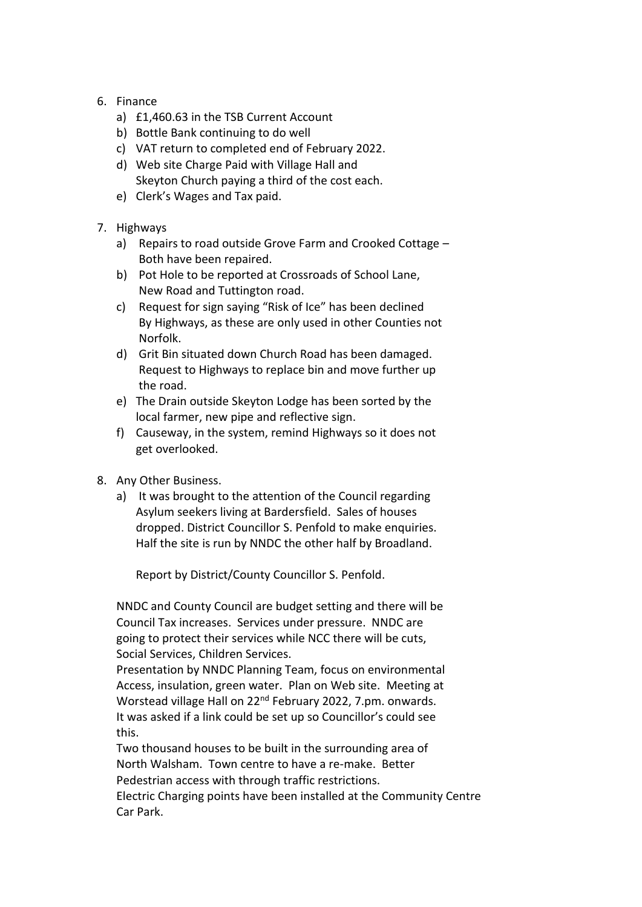- 6. Finance
	- a) £1,460.63 in the TSB Current Account
	- b) Bottle Bank continuing to do well
	- c) VAT return to completed end of February 2022.
	- d) Web site Charge Paid with Village Hall and Skeyton Church paying a third of the cost each.
	- e) Clerk's Wages and Tax paid.
- 7. Highways
	- a) Repairs to road outside Grove Farm and Crooked Cottage Both have been repaired.
	- b) Pot Hole to be reported at Crossroads of School Lane, New Road and Tuttington road.
	- c) Request for sign saying "Risk of Ice" has been declined By Highways, as these are only used in other Counties not Norfolk.
	- d) Grit Bin situated down Church Road has been damaged. Request to Highways to replace bin and move further up the road.
	- e) The Drain outside Skeyton Lodge has been sorted by the local farmer, new pipe and reflective sign.
	- f) Causeway, in the system, remind Highways so it does not get overlooked.
- 8. Any Other Business.
	- a) It was brought to the attention of the Council regarding Asylum seekers living at Bardersfield. Sales of houses dropped. District Councillor S. Penfold to make enquiries. Half the site is run by NNDC the other half by Broadland.

Report by District/County Councillor S. Penfold.

NNDC and County Council are budget setting and there will be Council Tax increases. Services under pressure. NNDC are going to protect their services while NCC there will be cuts, Social Services, Children Services.

Presentation by NNDC Planning Team, focus on environmental Access, insulation, green water. Plan on Web site. Meeting at Worstead village Hall on 22nd February 2022, 7.pm. onwards. It was asked if a link could be set up so Councillor's could see this.

Two thousand houses to be built in the surrounding area of North Walsham. Town centre to have a re-make. Better Pedestrian access with through traffic restrictions. Electric Charging points have been installed at the Community Centre

Car Park.